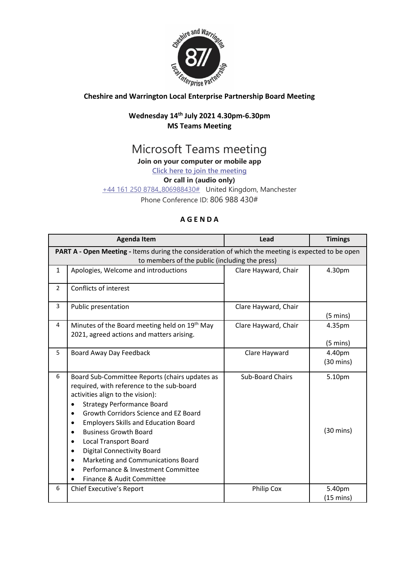

## **Cheshire and Warrington Local Enterprise Partnership Board Meeting**

## **Wednesday 14 th July 2021 4.30pm-6.30pm MS Teams Meeting**

# Microsoft Teams meeting

**Join on your computer or mobile app**

**[Click here to join the meeting](https://teams.microsoft.com/l/meetup-join/19%3ameeting_MTNhYzFmNzEtZTlhNy00MDkxLWI0YzUtM2E1YmQ3N2Y2N2Ri%40thread.v2/0?context=%7b%22Tid%22%3a%229fdc30f0-07e8-4ece-96e4-5daef8d479d1%22%2c%22Oid%22%3a%226c5251ba-0d3a-40c0-b933-9dcb03aa1bd1%22%7d)**

#### **Or call in (audio only)**

[+44 161 250 8784,,806988430#](tel:+441612508784,,806988430# ) United Kingdom, Manchester

Phone Conference ID: 806 988 430#

## **A G E N D A**

|                                                                                                    | <b>Agenda Item</b>                                                                                                                                                                                                                                                                                                                                                                                                                                                                        | Lead                    | <b>Timings</b>                |  |
|----------------------------------------------------------------------------------------------------|-------------------------------------------------------------------------------------------------------------------------------------------------------------------------------------------------------------------------------------------------------------------------------------------------------------------------------------------------------------------------------------------------------------------------------------------------------------------------------------------|-------------------------|-------------------------------|--|
| PART A - Open Meeting - Items during the consideration of which the meeting is expected to be open |                                                                                                                                                                                                                                                                                                                                                                                                                                                                                           |                         |                               |  |
| to members of the public (including the press)                                                     |                                                                                                                                                                                                                                                                                                                                                                                                                                                                                           |                         |                               |  |
| $\mathbf{1}$                                                                                       | Apologies, Welcome and introductions                                                                                                                                                                                                                                                                                                                                                                                                                                                      | Clare Hayward, Chair    | 4.30pm                        |  |
| $\overline{2}$                                                                                     | Conflicts of interest                                                                                                                                                                                                                                                                                                                                                                                                                                                                     |                         |                               |  |
| 3                                                                                                  | Public presentation                                                                                                                                                                                                                                                                                                                                                                                                                                                                       | Clare Hayward, Chair    | $(5 \text{ mins})$            |  |
| 4                                                                                                  | Minutes of the Board meeting held on 19th May<br>2021, agreed actions and matters arising.                                                                                                                                                                                                                                                                                                                                                                                                | Clare Hayward, Chair    | 4.35pm<br>$(5 \text{ mins})$  |  |
| 5                                                                                                  | Board Away Day Feedback                                                                                                                                                                                                                                                                                                                                                                                                                                                                   | Clare Hayward           | 4.40pm<br>$(30 \text{ mins})$ |  |
| 6                                                                                                  | Board Sub-Committee Reports (chairs updates as<br>required, with reference to the sub-board<br>activities align to the vision):<br><b>Strategy Performance Board</b><br>Growth Corridors Science and EZ Board<br><b>Employers Skills and Education Board</b><br>٠<br><b>Business Growth Board</b><br><b>Local Transport Board</b><br>٠<br><b>Digital Connectivity Board</b><br>٠<br>Marketing and Communications Board<br>Performance & Investment Committee<br>Finance & Audit Committee | <b>Sub-Board Chairs</b> | 5.10pm<br>$(30 \text{ mins})$ |  |
| 6                                                                                                  | Chief Executive's Report                                                                                                                                                                                                                                                                                                                                                                                                                                                                  | <b>Philip Cox</b>       | 5.40pm<br>$(15 \text{ mins})$ |  |